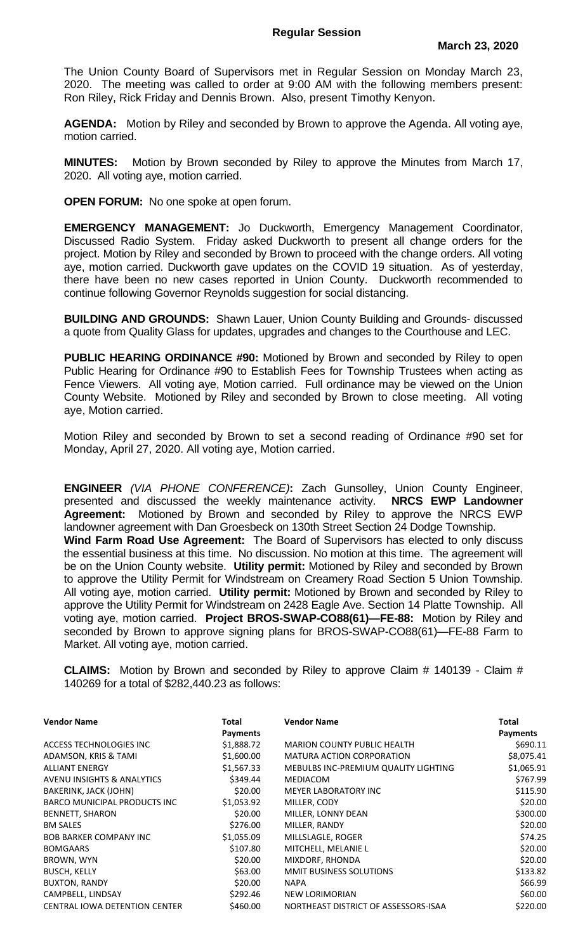The Union County Board of Supervisors met in Regular Session on Monday March 23, 2020. The meeting was called to order at 9:00 AM with the following members present: Ron Riley, Rick Friday and Dennis Brown. Also, present Timothy Kenyon.

**AGENDA:** Motion by Riley and seconded by Brown to approve the Agenda. All voting aye, motion carried.

**MINUTES:** Motion by Brown seconded by Riley to approve the Minutes from March 17, 2020. All voting aye, motion carried.

**OPEN FORUM:** No one spoke at open forum.

**EMERGENCY MANAGEMENT:** Jo Duckworth, Emergency Management Coordinator, Discussed Radio System. Friday asked Duckworth to present all change orders for the project. Motion by Riley and seconded by Brown to proceed with the change orders. All voting aye, motion carried. Duckworth gave updates on the COVID 19 situation. As of yesterday, there have been no new cases reported in Union County. Duckworth recommended to continue following Governor Reynolds suggestion for social distancing.

**BUILDING AND GROUNDS:** Shawn Lauer, Union County Building and Grounds- discussed a quote from Quality Glass for updates, upgrades and changes to the Courthouse and LEC.

**PUBLIC HEARING ORDINANCE #90:** Motioned by Brown and seconded by Riley to open Public Hearing for Ordinance #90 to Establish Fees for Township Trustees when acting as Fence Viewers. All voting aye, Motion carried. Full ordinance may be viewed on the Union County Website. Motioned by Riley and seconded by Brown to close meeting. All voting aye, Motion carried.

Motion Riley and seconded by Brown to set a second reading of Ordinance #90 set for Monday, April 27, 2020. All voting aye, Motion carried.

**ENGINEER** *(VIA PHONE CONFERENCE)***:** Zach Gunsolley, Union County Engineer, presented and discussed the weekly maintenance activity. **NRCS EWP Landowner Agreement:** Motioned by Brown and seconded by Riley to approve the NRCS EWP landowner agreement with Dan Groesbeck on 130th Street Section 24 Dodge Township. **Wind Farm Road Use Agreement:** The Board of Supervisors has elected to only discuss the essential business at this time. No discussion. No motion at this time. The agreement will be on the Union County website. **Utility permit:** Motioned by Riley and seconded by Brown to approve the Utility Permit for Windstream on Creamery Road Section 5 Union Township. All voting aye, motion carried. **Utility permit:** Motioned by Brown and seconded by Riley to approve the Utility Permit for Windstream on 2428 Eagle Ave. Section 14 Platte Township. All voting aye, motion carried. **Project BROS-SWAP-CO88(61)—FE-88:** Motion by Riley and seconded by Brown to approve signing plans for BROS-SWAP-CO88(61)—FE-88 Farm to Market. All voting aye, motion carried.

**CLAIMS:** Motion by Brown and seconded by Riley to approve Claim # 140139 - Claim # 140269 for a total of \$282,440.23 as follows:

| <b>Vendor Name</b>                   | Total           | <b>Vendor Name</b>                   | Total           |
|--------------------------------------|-----------------|--------------------------------------|-----------------|
|                                      | <b>Payments</b> |                                      | <b>Payments</b> |
| ACCESS TECHNOLOGIES INC              | \$1,888.72      | <b>MARION COUNTY PUBLIC HEALTH</b>   | \$690.11        |
| ADAMSON, KRIS & TAMI                 | \$1,600.00      | <b>MATURA ACTION CORPORATION</b>     | \$8,075.41      |
| <b>ALLIANT ENERGY</b>                | \$1,567.33      | MEBULBS INC-PREMIUM QUALITY LIGHTING | \$1,065.91      |
| AVENU INSIGHTS & ANALYTICS           | \$349.44        | MEDIACOM                             | \$767.99        |
| BAKERINK, JACK (JOHN)                | \$20.00         | <b>MEYER LABORATORY INC</b>          | \$115.90        |
| BARCO MUNICIPAL PRODUCTS INC         | \$1,053.92      | MILLER, CODY                         | \$20.00         |
| <b>BENNETT, SHARON</b>               | \$20.00         | MILLER, LONNY DEAN                   | \$300.00        |
| <b>BM SALES</b>                      | \$276.00        | MILLER, RANDY                        | \$20.00         |
| <b>BOB BARKER COMPANY INC.</b>       | \$1,055.09      | MILLSLAGLE, ROGER                    | \$74.25         |
| <b>BOMGAARS</b>                      | \$107.80        | MITCHELL, MELANIE L                  | \$20.00         |
| BROWN, WYN                           | \$20.00         | MIXDORF, RHONDA                      | \$20.00         |
| <b>BUSCH, KELLY</b>                  | \$63.00         | <b>MMIT BUSINESS SOLUTIONS</b>       | \$133.82        |
| <b>BUXTON, RANDY</b>                 | \$20.00         | <b>NAPA</b>                          | \$66.99         |
| CAMPBELL, LINDSAY                    | \$292.46        | <b>NEW LORIMORIAN</b>                | \$60.00         |
| <b>CENTRAL IOWA DETENTION CENTER</b> | \$460.00        | NORTHEAST DISTRICT OF ASSESSORS-ISAA | \$220.00        |